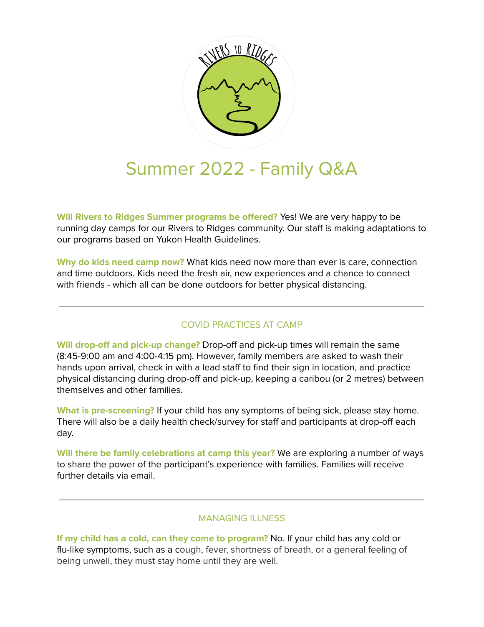

# Summer 2022 - Family Q&A

**Will Rivers to Ridges Summer programs be offered?** Yes! We are very happy to be running day camps for our Rivers to Ridges community. Our staff is making adaptations to our programs based on Yukon Health Guidelines.

**Why do kids need camp now?** What kids need now more than ever is care, connection and time outdoors. Kids need the fresh air, new experiences and a chance to connect with friends - which all can be done outdoors for better physical distancing.

## COVID PRACTICES AT CAMP

**Will drop-off and pick-up change?** Drop-off and pick-up times will remain the same (8:45-9:00 am and 4:00-4:15 pm). However, family members are asked to wash their hands upon arrival, check in with a lead staff to find their sign in location, and practice physical distancing during drop-off and pick-up, keeping a caribou (or 2 metres) between themselves and other families.

**What is pre-screening?** If your child has any symptoms of being sick, please stay home. There will also be a daily health check/survey for staff and participants at drop-off each day.

**Will there be family celebrations at camp this year?** We are exploring a number of ways to share the power of the participant's experience with families. Families will receive further details via email.

### MANAGING ILLNESS

**If my child has a cold, can they come to program?** No. If your child has any cold or flu-like symptoms, such as a cough, fever, shortness of breath, or a general feeling of being unwell, they must stay home until they are well.